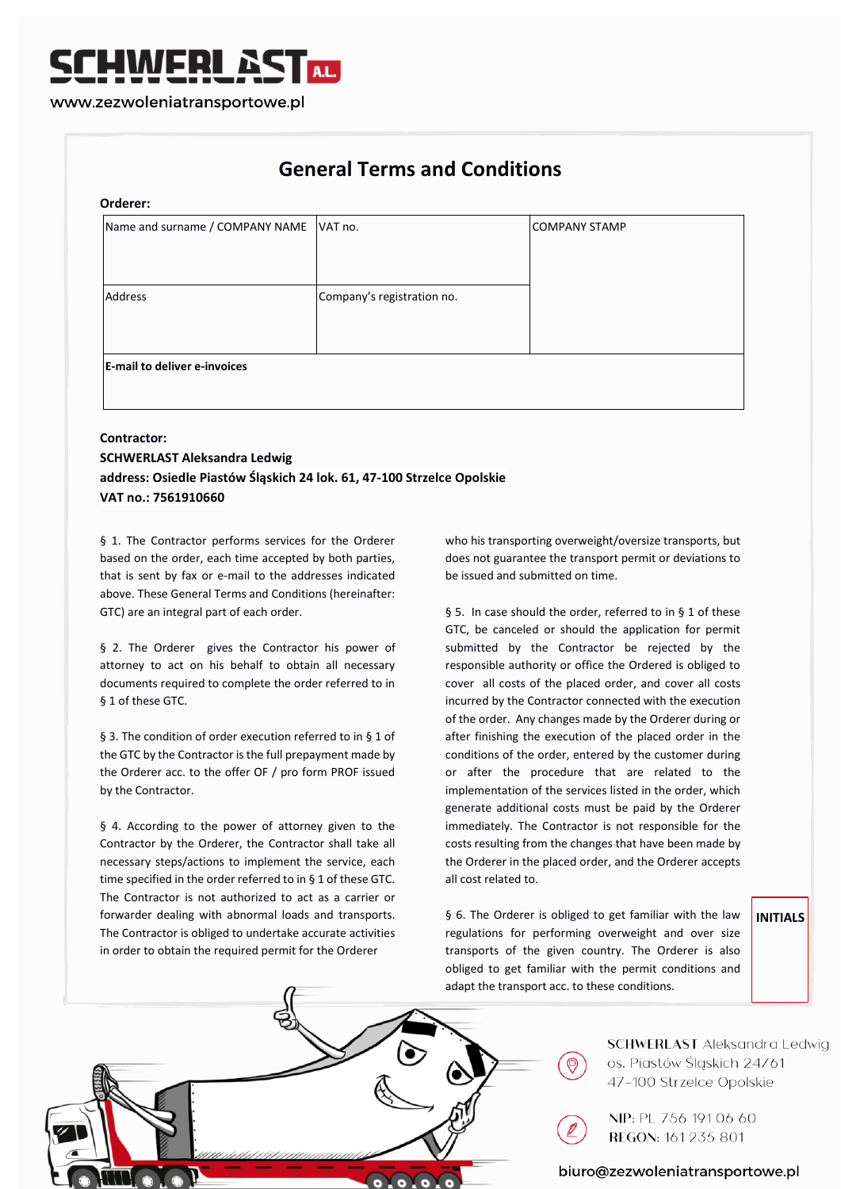# **General Terms and Conditions**

#### **Orderer:**

| Name and surname / COMPANY NAME     | VAT no.                    | COMPANY STAMP |
|-------------------------------------|----------------------------|---------------|
|                                     |                            |               |
|                                     |                            |               |
| Address                             | Company's registration no. |               |
|                                     |                            |               |
|                                     |                            |               |
| <b>E-mail to deliver e-invoices</b> |                            |               |
|                                     |                            |               |

# **Contractor: SCHWERLAST Aleksandra Ledwig address: Osiedle Piastów Śląskich 24 lok. 61, 47-100 Strzelce Opolskie VAT no.: 7561910660**

§ 1. The Contractor performs services for the Orderer based on the order, each time accepted by both parties, that is sent by fax or e-mail to the addresses indicated above. These General Terms and Conditions (hereinafter: GTC) are an integral part of each order.

§ 2. The Orderer gives the Contractor his power of attorney to act on his behalf to obtain all necessary documents required to complete the order referred to in § 1 of these GTC.

§ 3. The condition of order execution referred to in § 1 of the GTC by the Contractor is the full prepayment made by the Orderer acc. to the offer OF / pro form PROF issued by the Contractor.

§ 4. According to the power of attorney given to the Contractor by the Orderer, the Contractor shall take all necessary steps/actions to implement the service, each time specified in the order referred to in § 1 of these GTC. The Contractor is not authorized to act as a carrier or forwarder dealing with abnormal loads and transports. The Contractor is obliged to undertake accurate activities in order to obtain the required permit for the Orderer

who his transporting overweight/oversize transports, but does not guarantee the transport permit or deviations to be issued and submitted on time.

§ 5. In case should the order, referred to in § 1 of these GTC, be canceled or should the application for permit submitted by the Contractor be rejected by the responsible authority or office the Ordered is obliged to cover all costs of the placed order, and cover all costs incurred by the Contractor connected with the execution of the order. Any changes made by the Orderer during or after finishing the execution of the placed order in the conditions of the order, entered by the customer during or after the procedure that are related to the implementation of the services listed in the order, which generate additional costs must be paid by the Orderer immediately. The Contractor is not responsible for the costs resulting from the changes that have been made by the Orderer in the placed order, and the Orderer accepts all cost related to.

§ 6. The Orderer is obliged to get familiar with the law regulations for performing overweight and over size transports of the given country. The Orderer is also obliged to get familiar with the permit conditions and adapt the transport acc. to these conditions.

## **INITIALS**



**SCHWERLAST** Aleksandra Ledwig os. Piastów Śląskich 24/61 47-100 Strzelce Opolskie

NIP: PL 756 191 06 60 REGON: 161 235 801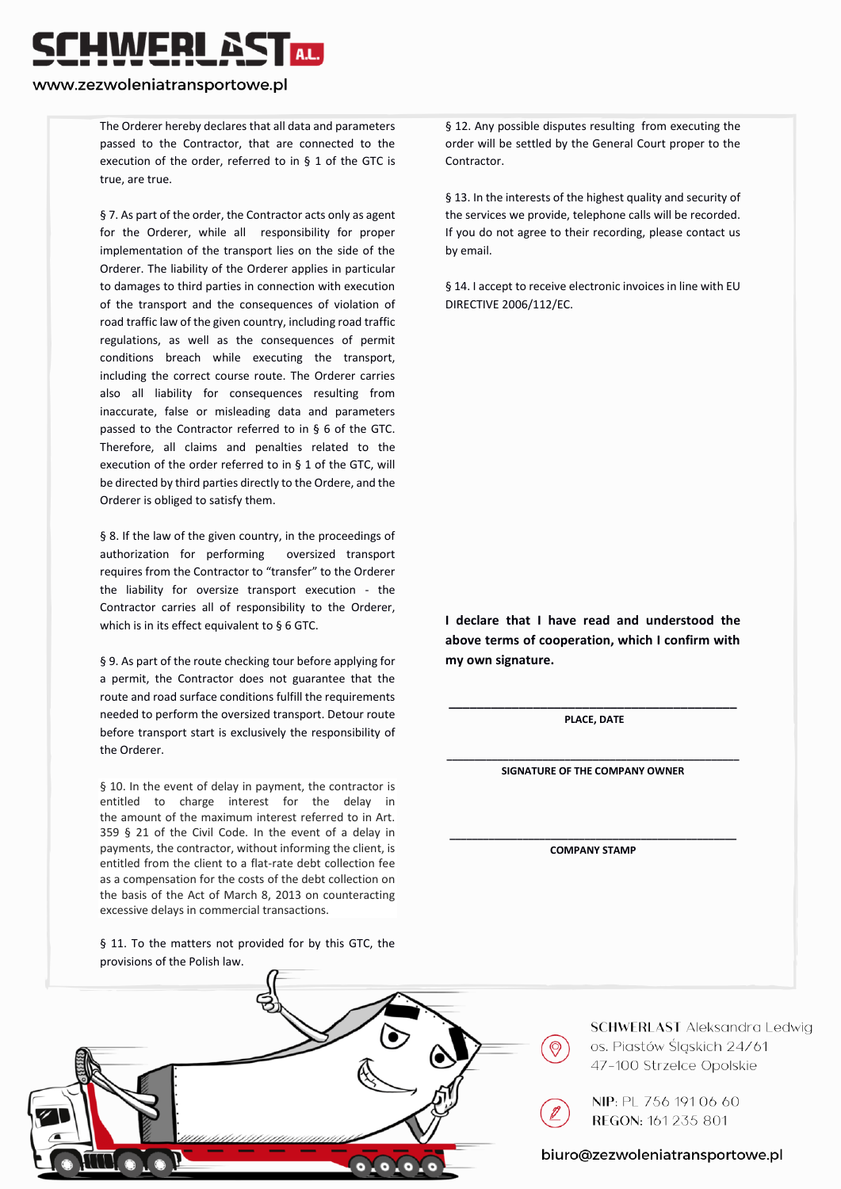# WERI &

#### www.zezwoleniatransportowe.pl

The Orderer hereby declares that all data and parameters passed to the Contractor, that are connected to the execution of the order, referred to in § 1 of the GTC is true, are true.

§ 7. As part of the order, the Contractor acts only as agent for the Orderer, while all responsibility for proper implementation of the transport lies on the side of the Orderer. The liability of the Orderer applies in particular to damages to third parties in connection with execution of the transport and the consequences of violation of road traffic law of the given country, including road traffic regulations, as well as the consequences of permit conditions breach while executing the transport, including the correct course route. The Orderer carries also all liability for consequences resulting from inaccurate, false or misleading data and parameters passed to the Contractor referred to in § 6 of the GTC. Therefore, all claims and penalties related to the execution of the order referred to in § 1 of the GTC, will be directed by third parties directly to the Ordere, and the Orderer is obliged to satisfy them.

§ 8. If the law of the given country, in the proceedings of authorization for performing oversized transport requires from the Contractor to "transfer" to the Orderer the liability for oversize transport execution - the Contractor carries all of responsibility to the Orderer, which is in its effect equivalent to § 6 GTC.

§ 9. As part of the route checking tour before applying for a permit, the Contractor does not guarantee that the route and road surface conditions fulfill the requirements needed to perform the oversized transport. Detour route before transport start is exclusively the responsibility of the Orderer.

§ 10. In the event of delay in payment, the contractor is entitled to charge interest for the delay in the amount of the maximum interest referred to in Art. 359 § 21 of the Civil Code. In the event of a delay in payments, the contractor, without informing the client, is entitled from the client to a flat-rate debt collection fee as a compensation for the costs of the debt collection on the basis of the Act of March 8, 2013 on counteracting excessive delays in commercial transactions.

§ 11. To the matters not provided for by this GTC, the provisions of the Polish law.

§ 12. Any possible disputes resulting from executing the order will be settled by the General Court proper to the Contractor.

§ 13. In the interests of the highest quality and security of the services we provide, telephone calls will be recorded. If you do not agree to their recording, please contact us by email.

§ 14. I accept to receive electronic invoices in line with EU DIRECTIVE 2006/112/EC.

**I declare that I have read and understood the above terms of cooperation, which I confirm with my own signature.** 

**\_\_\_\_\_\_\_\_\_\_\_\_\_\_\_\_\_\_\_\_\_\_\_\_\_\_\_\_\_\_\_\_\_\_\_\_\_\_\_\_\_ PLACE, DATE**

**\_\_\_\_\_\_\_\_\_\_\_\_\_\_\_\_\_\_\_\_\_\_\_\_\_\_\_\_\_\_\_\_\_\_\_\_\_\_\_\_\_\_\_\_\_\_\_\_\_\_\_\_ SIGNATURE OF THE COMPANY OWNER** 

**\_\_\_\_\_\_\_\_\_\_\_\_\_\_\_\_\_\_\_\_\_\_\_\_\_\_\_\_\_\_\_\_\_\_\_\_\_\_\_\_\_\_\_\_\_\_\_\_\_\_\_ COMPANY STAMP**



**SCHWERLAST** Aleksandra Ledwig os. Piastów Śląskich 24/61 47-100 Strzelce Opolskie

NIP: PL 756 191 06 60 REGON: 161 235 801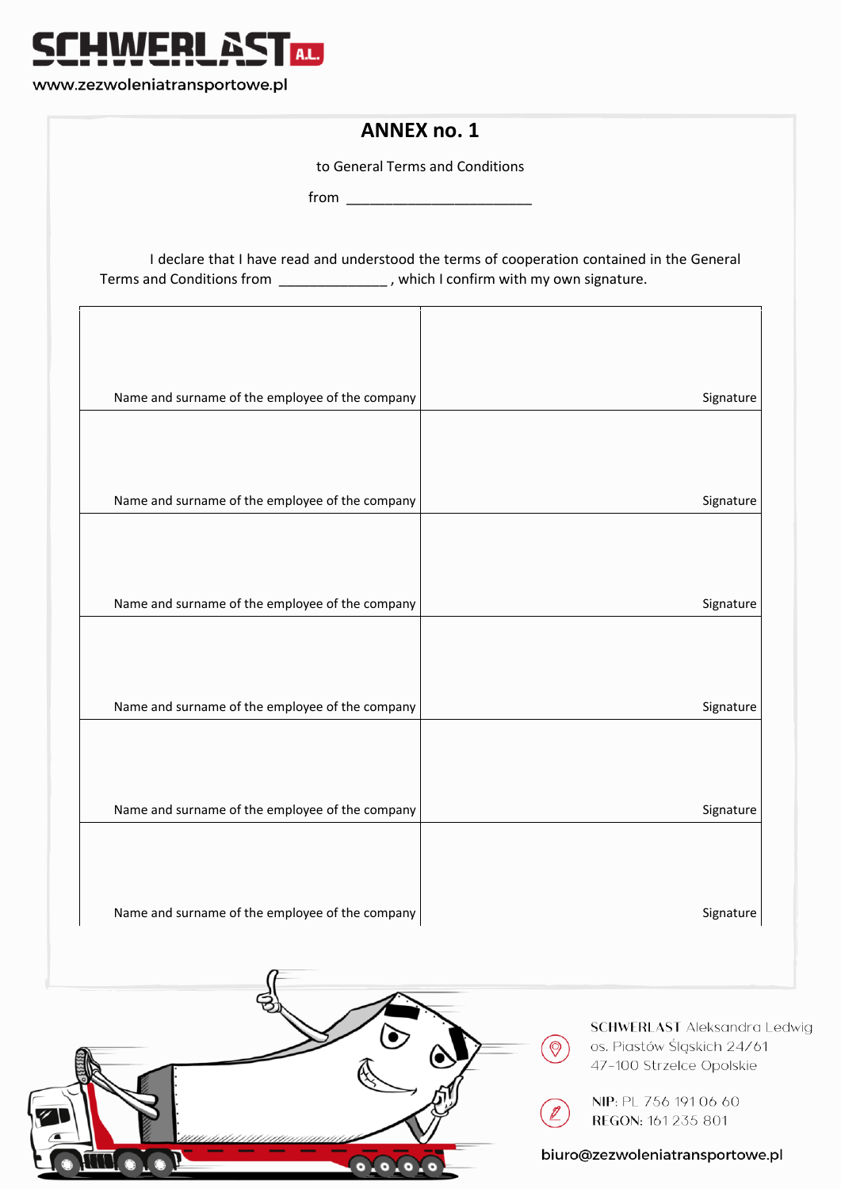

www.zezwoleniatransportowe.pl

WI. O LE

| to General Terms and Conditions                                                                                                                                                  |                                                                   |
|----------------------------------------------------------------------------------------------------------------------------------------------------------------------------------|-------------------------------------------------------------------|
| $from \begin{tabular}{ c c c } \hline \quad \quad & \quad \quad & \quad \quad & \quad \quad \\ \hline \end{tabular}$                                                             |                                                                   |
| I declare that I have read and understood the terms of cooperation contained in the General<br>Terms and Conditions from _______________, which I confirm with my own signature. |                                                                   |
| Name and surname of the employee of the company                                                                                                                                  | Signature                                                         |
| Name and surname of the employee of the company                                                                                                                                  | Signature                                                         |
| Name and surname of the employee of the company                                                                                                                                  | Signature                                                         |
| Name and surname of the employee of the company                                                                                                                                  | Signature                                                         |
| Name and surname of the employee of the company                                                                                                                                  | Signature                                                         |
| Name and surname of the employee of the company                                                                                                                                  | Signature                                                         |
|                                                                                                                                                                                  | <b>SCHWERLAST</b> Aleksandra Ledwig<br>os. Piastów Śląskich 24/61 |

REGON: 161 235 801

 $(\mathbb{Z})$